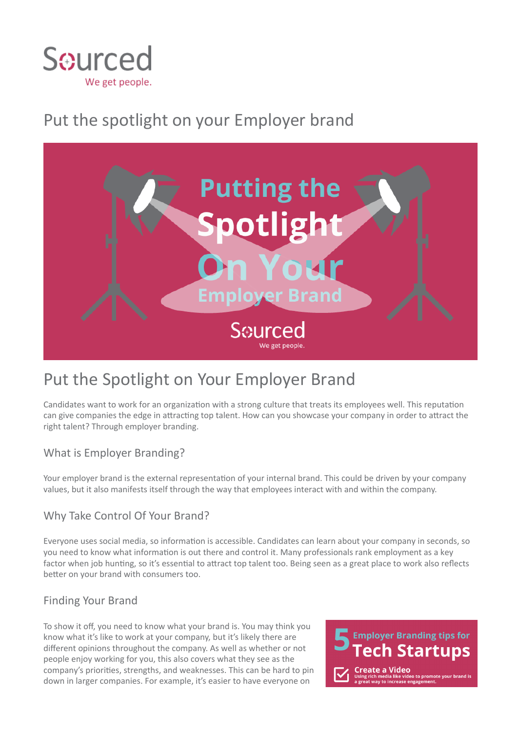

# Put the spotlight on your Employer brand



## Put the Spotlight on Your Employer Brand

Candidates want to work for an organization with a strong culture that treats its employees well. This reputation can give companies the edge in attracting top talent. How can you showcase your company in order to attract the right talent? Through employer branding.

### What is Employer Branding?

Your employer brand is the external representation of your internal brand. This could be driven by your company values, but it also manifests itself through the way that employees interact with and within the company.

### Why Take Control Of Your Brand?

Everyone uses social media, so information is accessible. Candidates can learn about your company in seconds, so you need to know what information is out there and control it. Many professionals rank employment as a key factor when job hunting, so it's essential to attract top talent too. Being seen as a great place to work also reflects better on your brand with consumers too.

### Finding Your Brand

To show it off, you need to know what your brand is. You may think you know what it's like to work at your company, but it's likely there are different opinions throughout the company. As well as whether or not people enjoy working for you, this also covers what they see as the company's priorities, strengths, and weaknesses. This can be hard to pin down in larger companies. For example, it's easier to have everyone on